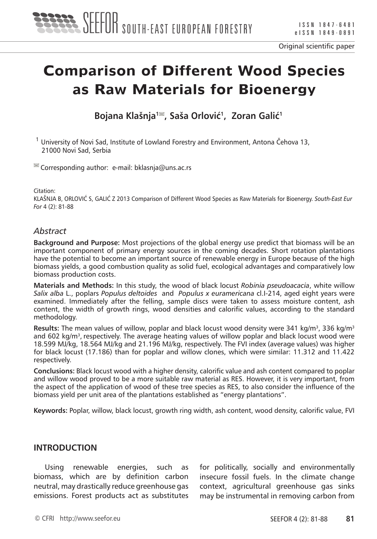

# **Comparison of Different Wood Species as Raw Materials for Bioenergy**

**Bojana Klašnja1 , Saša Orlović<sup>1</sup>, Zoran Galić<sup>1</sup>**

 $1$  University of Novi Sad, Institute of Lowland Forestry and Environment, Antona Čehova 13, 21000 Novi Sad, Serbia

 $\blacksquare$  Corresponding author: e-mail: bklasnja@uns.ac.rs

Citation:

KLAŠNJA B, ORLOVIĆ S, GALIĆ Z 2013 Comparison of Different Wood Species as Raw Materials for Bioenergy. *South-East Eur For* 4 (2): 81-88

#### *Abstract*

**Background and Purpose:** Most projections of the global energy use predict that biomass will be an important component of primary energy sources in the coming decades. Short rotation plantations have the potential to become an important source of renewable energy in Europe because of the high biomass yields, a good combustion quality as solid fuel, ecological advantages and comparatively low biomass production costs.

**Materials and Methods:** In this study, the wood of black locust *Robinia pseudoacacia*, white willow *Salix alba* L., poplars *Populus deltoides* and *Populus x euramericana* cl.I-214, aged eight years were examined. Immediately after the felling, sample discs were taken to assess moisture content, ash content, the width of growth rings, wood densities and calorific values, according to the standard methodology.

**Results:** The mean values of willow, poplar and black locust wood density were 341 kg/m3, 336 kg/m3 and 602 kg/m<sup>3</sup>, respectively. The average heating values of willow poplar and black locust wood were 18.599 MJ/kg, 18.564 MJ/kg and 21.196 MJ/kg, respectively. The FVI index (average values) was higher for black locust (17.186) than for poplar and willow clones, which were similar: 11.312 and 11.422 respectively.

**Conclusions:** Black locust wood with a higher density, calorific value and ash content compared to poplar and willow wood proved to be a more suitable raw material as RES. However, it is very important, from the aspect of the application of wood of these tree species as RES, to also consider the influence of the biomass yield per unit area of the plantations established as "energy plantations".

**Keywords:** Poplar, willow, black locust, growth ring width, ash content, wood density, calorific value, FVI

#### **INTRODUCTION**

Using renewable energies, such as biomass, which are by definition carbon neutral, may drastically reduce greenhouse gas emissions. Forest products act as substitutes for politically, socially and environmentally insecure fossil fuels. In the climate change context, agricultural greenhouse gas sinks may be instrumental in removing carbon from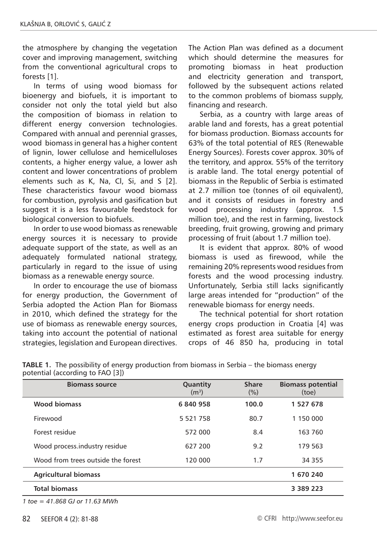the atmosphere by changing the vegetation cover and improving management, switching from the conventional agricultural crops to forests [1].

In terms of using wood biomass for bioenergy and biofuels, it is important to consider not only the total yield but also the composition of biomass in relation to different energy conversion technologies. Compared with annual and perennial grasses, wood biomass in general has a higher content of lignin, lower cellulose and hemicelluloses contents, a higher energy value, a lower ash content and lower concentrations of problem elements such as K, Na, Cl, Si, and S [2]. These characteristics favour wood biomass for combustion, pyrolysis and gasification but suggest it is a less favourable feedstock for biological conversion to biofuels.

In order to use wood biomass as renewable energy sources it is necessary to provide adequate support of the state, as well as an adequately formulated national strategy, particularly in regard to the issue of using biomass as a renewable energy source.

In order to encourage the use of biomass for energy production, the Government of Serbia adopted the Action Plan for Biomass in 2010, which defined the strategy for the use of biomass as renewable energy sources, taking into account the potential of national strategies, legislation and European directives.

The Action Plan was defined as a document which should determine the measures for promoting biomass in heat production and electricity generation and transport, followed by the subsequent actions related to the common problems of biomass supply, financing and research.

Serbia, as a country with large areas of arable land and forests, has a great potential for biomass production. Biomass accounts for 63% of the total potential of RES (Renewable Energy Sources). Forests cover approx. 30% of the territory, and approx. 55% of the territory is arable land. The total energy potential of biomass in the Republic of Serbia is estimated at 2.7 million toe (tonnes of oil equivalent), and it consists of residues in forestry and wood processing industry (approx. 1.5 million toe), and the rest in farming, livestock breeding, fruit growing, growing and primary processing of fruit (about 1.7 million toe).

It is evident that approx. 80% of wood biomass is used as firewood, while the remaining 20% represents wood residues from forests and the wood processing industry. Unfortunately, Serbia still lacks significantly large areas intended for "production" of the renewable biomass for energy needs.

The technical potential for short rotation energy crops production in Croatia [4] was estimated as forest area suitable for energy crops of 46 850 ha, producing in total

| <b>Biomass source</b>              | Quantity<br>(m <sup>3</sup> ) | <b>Share</b><br>(%) | <b>Biomass potential</b><br>(toe) |
|------------------------------------|-------------------------------|---------------------|-----------------------------------|
| <b>Wood biomass</b>                | 6840958                       | 100.0               | 1 527 678                         |
| Firewood                           | 5 5 2 1 7 5 8                 | 80.7                | 1 150 000                         |
| Forest residue                     | 572 000                       | 8.4                 | 163 760                           |
| Wood process.industry residue      | 627 200                       | 9.2                 | 179 563                           |
| Wood from trees outside the forest | 120 000                       | 1.7                 | 34 3 5 5                          |
| <b>Agricultural biomass</b>        |                               |                     | 1 670 240                         |
| <b>Total biomass</b>               |                               |                     | 3 3 8 9 2 2 3                     |

| <b>TABLE 1.</b> The possibility of energy production from biomass in Serbia – the biomass energy |
|--------------------------------------------------------------------------------------------------|
| potential (according to FAO [3])                                                                 |

*1 toe = 41.868 GJ or 11.63 MWh*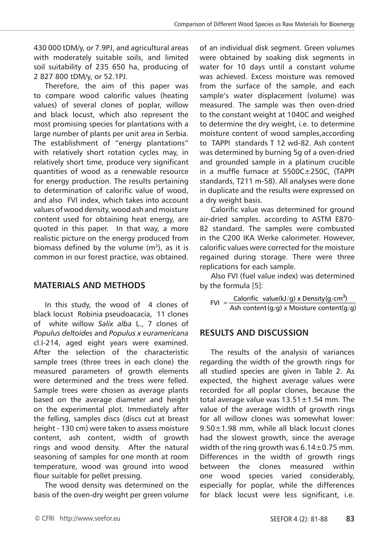430 000 tDM/y, or 7.9PJ, and agricultural areas with moderately suitable soils, and limited soil suitability of 235 650 ha, producing of 2 827 800 tDM/y, or 52.1PJ.

Therefore, the aim of this paper was to compare wood calorific values (heating values) of several clones of poplar, willow and black locust, which also represent the most promising species for plantations with a large number of plants per unit area in Serbia. The establishment of "energy plantations" with relatively short rotation cycles may, in relatively short time, produce very significant quantities of wood as a renewable resource for energy production. The results pertaining to determination of calorific value of wood, and also FVI index, which takes into account values of wood density, wood ash and moisture content used for obtaining heat energy, are quoted in this paper. In that way, a more realistic picture on the energy produced from biomass defined by the volume  $(m^3)$ , as it is common in our forest practice, was obtained.

## **MATERIALS AND METHODS**

In this study, the wood of 4 clones of black locust Robinia pseudoacacia, 11 clones of white willow *Salix alba* L., 7 clones of *Populus deltoides* and *Populus x euramericana*  cl.I-214, aged eight years were examined. After the selection of the characteristic sample trees (three trees in each clone) the measured parameters of growth elements were determined and the trees were felled. Sample trees were chosen as average plants based on the average diameter and height on the experimental plot. Immediately after the felling, samples discs (discs cut at breast height - 130 cm) were taken to assess moisture content, ash content, width of growth rings and wood density. After the natural seasoning of samples for one month at room temperature, wood was ground into wood flour suitable for pellet pressing.

The wood density was determined on the basis of the oven-dry weight per green volume

of an individual disk segment. Green volumes were obtained by soaking disk segments in water for 10 days until a constant volume was achieved. Excess moisture was removed from the surface of the sample, and each sample's water displacement (volume) was measured. The sample was then oven-dried to the constant weight at 1040C and weighed to determine the dry weight, i.e. to determine moisture content of wood samples,according to TAPPI standards T 12 wd-82. Ash content was determined by burning 5g of a oven-dried and grounded sample in a platinum crucible in a muffle furnace at 5500C±250C, (TAPPI standards, T211 m-58). All analyses were done in duplicate and the results were expressed on a dry weight basis.

Calorific value was determined for ground air-dried samples. according to ASTM E870- 82 standard. The samples were combusted in the C200 IKA Werke calorimeter. However, calorific values were corrected for the moisture regained during storage. There were three replications for each sample.

Also FVI (fuel value index) was determined by the formula [5]:

FVI =  $\frac{\text{Calorific value}(k1/g) \times \text{Density}(g/cm^3)}{\text{Ash content}(g/g) \times \text{Moisture content}(g/g)}$ :(kJ/g) x Density(g/cm<sup>3</sup>)

## **RESULTS AND DISCUSSION**

The results of the analysis of variances regarding the width of the growth rings for all studied species are given in Table 2. As expected, the highest average values were recorded for all poplar clones, because the total average value was  $13.51 \pm 1.54$  mm. The value of the average width of growth rings for all willow clones was somewhat lower: 9.50±1.98 mm, while all black locust clones had the slowest growth, since the average width of the ring growth was  $6.14 \pm 0.75$  mm. Differences in the width of growth rings between the clones measured within one wood species varied considerably, especially for poplar, while the differences for black locust were less significant, i.e.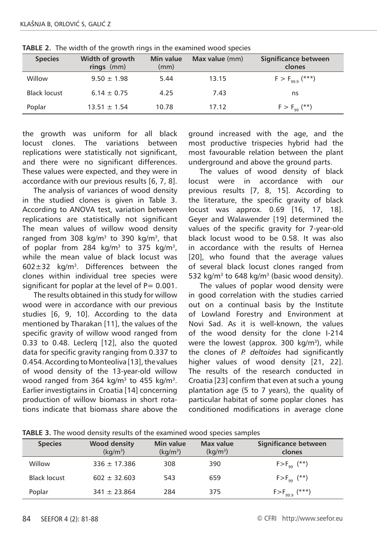| <b>Species</b> | Width of growth<br>$rings$ (mm) | Min value<br>(mm) | Max value (mm) | Significance between<br>clones |
|----------------|---------------------------------|-------------------|----------------|--------------------------------|
| Willow         | $9.50 \pm 1.98$                 | 5.44              | 13.15          | $F > F_{99.9}$ (***)           |
| Black locust   | $6.14 \pm 0.75$                 | 4.25              | 7.43           | ns                             |
| Poplar         | $13.51 \pm 1.54$                | 10.78             | 17.12          | $F > F_{qq}$ (**)              |

**TABLE 2.** The width of the growth rings in the examined wood species

the growth was uniform for all black locust clones. The variations between replications were statistically not significant, and there were no significant differences. These values were expected, and they were in accordance with our previous results [6, 7, 8].

The analysis of variances of wood density in the studied clones is given in Table 3. According to ANOVA test, variation between replications are statistically not significant The mean values of willow wood density ranged from 308 kg/m<sup>3</sup> to 390 kg/m<sup>3</sup>, that of poplar from 284  $kg/m^3$  to 375  $kg/m^3$ , while the mean value of black locust was  $602 \pm 32$  kg/m<sup>3</sup>. Differences between the clones within individual tree species were significant for poplar at the level of  $P= 0.001$ .

The results obtained in this study for willow wood were in accordance with our previous studies [6, 9, 10]. According to the data mentioned by Tharakan [11], the values of the specific gravity of willow wood ranged from 0.33 to 0.48. Leclerq [12], also the quoted data for specific gravity ranging from 0.337 to 0.454. According to Monteoliva [13], the values of wood density of the 13-year-old willow wood ranged from 364 kg/m<sup>3</sup> to 455 kg/m<sup>3</sup>. Earlier investigtains in Croatia [14] concerning production of willow biomass in short rotations indicate that biomass share above the

ground increased with the age, and the most productive trispecies hybrid had the most favourable relation between the plant underground and above the ground parts.

The values of wood density of black locust were in accordance with our previous results [7, 8, 15]. According to the literature, the specific gravity of black locust was approx. 0.69 [16, 17, 18]. Geyer and Walawender [19] determined the values of the specific gravity for 7-year-old black locust wood to be 0.58. It was also in accordance with the results of Hernea [20], who found that the average values of several black locust clones ranged from 532 kg/m<sup>3</sup> to 648 kg/m<sup>3</sup> (basic wood density).

The values of poplar wood density were in good correlation with the studies carried out on a continual basis by the Institute of Lowland Forestry and Environment at Novi Sad. As it is well-known, the values of the wood density for the clone I-214 were the lowest (approx. 300  $kg/m^3$ ), while the clones of *P. deltoides* had significantly higher values of wood density [21, 22]. The results of the research conducted in Croatia [23] confirm that even at such a young plantation age (5 to 7 years), the quality of particular habitat of some poplar clones has conditioned modifications in average clone

| <b>Species</b> | <b>Wood density</b><br>$(kq/m^3)$ | Min value<br>$(kq/m^3)$ | Max value<br>(kq/m <sup>3</sup> ) | Significance between<br>clones |
|----------------|-----------------------------------|-------------------------|-----------------------------------|--------------------------------|
| Willow         | $336 \pm 17.386$                  | 308                     | 390                               | $F > F_{qq}$ (**)              |
| Black locust   | $602 \pm 32.603$                  | 543                     | 659                               | $F > F_{\alpha\alpha}$ (**)    |
| Poplar         | $341 \pm 23.864$                  | 284                     | 375                               | $F > F_{99.9}$ (***)           |

**TABLE 3.** The wood density results of the examined wood species samples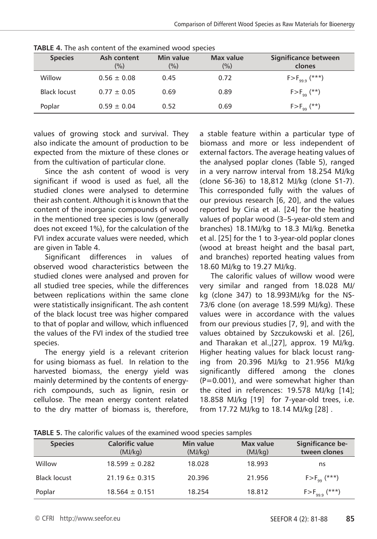| <b>Species</b>      | Ash content<br>(%) | Min value<br>(%) | Max value<br>(%) | Significance between<br>clones |
|---------------------|--------------------|------------------|------------------|--------------------------------|
| Willow              | $0.56 \pm 0.08$    | 0.45             | 0.72             | $F > F_{99.9}$ (***)           |
| <b>Black locust</b> | $0.77 \pm 0.05$    | 0.69             | 0.89             | $F > F_{qq}$ (**)              |
| Poplar              | $0.59 \pm 0.04$    | 0.52             | 0.69             | $F > F_{qq}$ (**)              |

**TABLE 4.** The ash content of the examined wood species

values of growing stock and survival. They also indicate the amount of production to be expected from the mixture of these clones or from the cultivation of particular clone.

Since the ash content of wood is very significant if wood is used as fuel, all the studied clones were analysed to determine their ash content. Although it is known that the content of the inorganic compounds of wood in the mentioned tree species is low (generally does not exceed 1%), for the calculation of the FVI index accurate values were needed, which are given in Table 4.

Significant differences in values of observed wood characteristics between the studied clones were analysed and proven for all studied tree species, while the differences between replications within the same clone were statistically insignificant. The ash content of the black locust tree was higher compared to that of poplar and willow, which influenced the values of the FVI index of the studied tree species.

The energy yield is a relevant criterion for using biomass as fuel. In relation to the harvested biomass, the energy yield was mainly determined by the contents of energyrich compounds, such as lignin, resin or cellulose. The mean energy content related to the dry matter of biomass is, therefore,

a stable feature within a particular type of biomass and more or less independent of external factors. The average heating values of the analysed poplar clones (Table 5), ranged in a very narrow interval from 18.254 MJ/kg (clone S6-36) to 18,812 MJ/kg (clone S1-7). This corresponded fully with the values of our previous research [6, 20], and the values reported by Ciria et al. [24] for the heating values of poplar wood (3–5-year-old stem and branches) 18.1MJ/kg to 18.3 MJ/kg. Benetka et al. [25] for the 1 to 3-year-old poplar clones (wood at breast height and the basal part, and branches) reported heating values from 18.60 MJ/kg to 19.27 MJ/kg.

The calorific values of willow wood were very similar and ranged from 18.028 MJ/ kg (clone 347) to 18.993MJ/kg for the NS-73/6 clone (on average 18.599 MJ/kg). These values were in accordance with the values from our previous studies [7, 9], and with the values obtained by Szczukowski et al. [26], and Tharakan et al.,[27], approx. 19 MJ/kg. Higher heating values for black locust ranging from 20.396 MJ/kg to 21.956 MJ/kg significantly differed among the clones (P=0.001), and were somewhat higher than the cited in references: 19.578 MJ/kg [14]; 18.858 MJ/kg [19] for 7-year-old trees, i.e. from 17.72 MJ/kg to 18.14 MJ/kg [28] .

| <b>Species</b> | <b>Calorific value</b><br>(MJ/kg) | Min value<br>(MJ/kg) | Max value<br>(MJ/kg) | Significance be-<br>tween clones |
|----------------|-----------------------------------|----------------------|----------------------|----------------------------------|
| Willow         | $18.599 \pm 0.282$                | 18.028               | 18.993               | ns                               |
| Black locust   | $21.196 + 0.315$                  | 20.396               | 21.956               | $F > F_{qq}$ (***)               |
| Poplar         | $18.564 \pm 0.151$                | 18.254               | 18.812               | $F > F_{99.9}$ (***)             |

**TABLE 5.** The calorific values of the examined wood species samples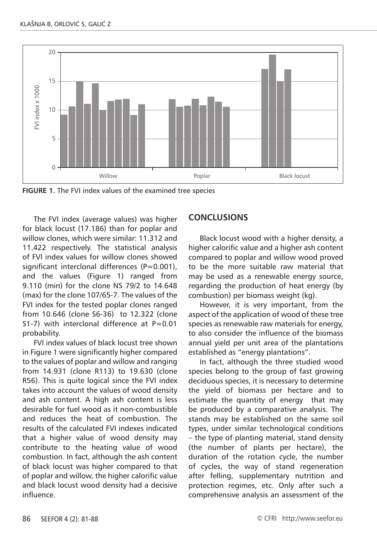

**FIGURE 1.** The FVI index values of the examined tree species

The FVI index (average values) was higher for black locust (17.186) than for poplar and willow clones, which were similar: 11.312 and 11.422 respectively. The statistical analysis of FVI index values for willow clones showed significant interclonal differences  $(P=0.001)$ , and the values (Figure 1) ranged from 9.110 (min) for the clone NS 79/2 to 14.648 (max) for the clone 107/65-7. The values of the FVI index for the tested poplar clones ranged from 10.646 (clone S6-36) to 12.322 (clone S1-7) with interclonal difference at  $P=0.01$ probability.

FVI index values of black locust tree shown in Figure 1 were significantly higher compared to the values of poplar and willow and ranging from 14.931 (clone R113) to 19.630 (clone R56). This is quite logical since the FVI index takes into account the values of wood density and ash content. A high ash content is less desirable for fuel wood as it non-combustible and reduces the heat of combustion. The results of the calculated FVI indexes indicated that a higher value of wood density may contribute to the heating value of wood combustion. In fact, although the ash content of black locust was higher compared to that of poplar and willow, the higher calorific value and black locust wood density had a decisive influence.

## **CONCLUSIONS**

Black locust wood with a higher density, a higher calorific value and a higher ash content compared to poplar and willow wood proved to be the more suitable raw material that may be used as a renewable energy source, regarding the production of heat energy (by combustion) per biomass weight (kg).

However, it is very important, from the aspect of the application of wood of these tree species as renewable raw materials for energy, to also consider the influence of the biomass annual yield per unit area of the plantations established as "energy plantations".

In fact, although the three studied wood species belong to the group of fast growing deciduous species, it is necessary to determine the yield of biomass per hectare and to estimate the quantity of energy that may be produced by a comparative analysis. The stands may be established on the same soil types, under similar technological conditions – the type of planting material, stand density (the number of plants per hectare), the duration of the rotation cycle, the number of cycles, the way of stand regeneration after felling, supplementary nutrition and protection regimes, etc. Only after such a comprehensive analysis an assessment of the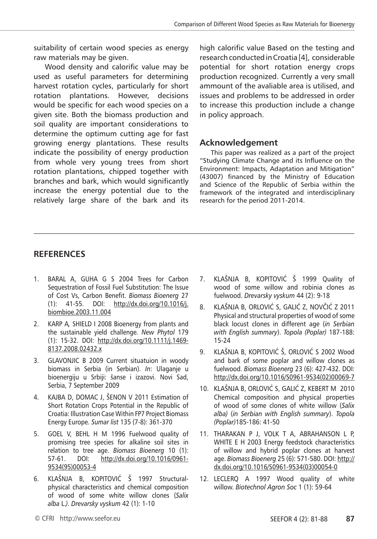suitability of certain wood species as energy raw materials may be given.

Wood density and calorific value may be used as useful parameters for determining harvest rotation cycles, particularly for short rotation plantations. However, decisions would be specific for each wood species on a given site. Both the biomass production and soil quality are important considerations to determine the optimum cutting age for fast growing energy plantations. These results indicate the possibility of energy production from whole very young trees from short rotation plantations, chipped together with branches and bark, which would significantly increase the energy potential due to the relatively large share of the bark and its

high calorific value Based on the testing and research conducted in Croatia [4], considerable potential for short rotation energy crops production recognized. Currently a very small ammount of the avaliable area is utilised, and issues and problems to be addressed in order to increase this production include a change in policy approach.

## **Acknowledgement**

This paper was realized as a part of the project "Studying Climate Change and its Influence on the Environment: Impacts, Adaptation and Mitigation" (43007) financed by the Ministry of Education and Science of the Republic of Serbia within the framework of the integrated and interdisciplinary research for the period 2011-2014.

## **RefereNces**

- 1. BARAL A, GUHA G S 2004 Trees for Carbon Sequestration of Fossil Fuel Substitution: The Issue of Cost Vs, Carbon Benefit. *Biomass Bioenerg* 27 (1): 41-55. DOI: http://dx.doi.org/10.1016/j. biombioe.2003.11.004
- 2. KARP A*,* SHIELD I 2008 Bioenergy from plants and the sustainable yield challenge*. New Phytol* 179 (1): 15-32. DOI: http://dx.doi.org/10.1111/j.1469- 8137.2008.02432.x
- 3. GLAVONJIC B 2009 Current situatuion in woody biomass in Serbia (in Serbian). *In*: Ulaganje u bioenergiju u Srbiji: šanse i izazovi. Novi Sad, Serbia, 7 September 2009
- 4. KAJBA D, DOMAC J, ŠENON V 2011 Estimation of Short Rotation Crops Potential in the Republic of Croatia: Illustration Case Within FP7 Project Biomass Energy Europe. *Sumar list* 135 (7-8): 361-370
- 5. GOEL V, BEHL H M 1996 Fuelwood quality of promising tree species for alkaline soil sites in relation to tree age. *Biomass Bioenerg* 10 (1): 57-61. DOI: http://dx.doi.org/10.1016/0961- 9534(95)00053-4
- 6. KLAŠNJA B, KOPITOVIĆ Š 1997 Structuralphysical characteristics and chemical composition of wood of some white willow clones (*Salix alba* L.*)*. *Drevarsky vyskum* 42 (1): 1-10
- 7. KLAŠNJA B, KOPITOVIĆ Š 1999 Quality of wood of some willow and robinia clones as fuelwood. *Drevarsky vyskum* 44 (2): 9-18
- 8. KLAŠNJA B, ORLOVIĆ S, GALIĆ Z, NOVČIĆ Z 2011 Physical and structural properties of wood of some black locust clones in different age (*in Serbian with English summary*). *Topola (Poplar)* 187-188: 15-24
- 9. KLAŠNJA B, KOPITOVIĆ Š, ORLOVIĆ S 2002 Wood and bark of some poplar and willow clones as fuelwood. *Biomass Bioenerg* 23 (6): 427-432. DOI: http://dx.doi.org/10.1016/S0961-9534(02)00069-7
- 10. KLAŠNJA B, ORLOVIĆ S, GALIĆ Z, KEBERT M 2010 Chemical composition and physical properties of wood of some clones of white willow (*Salix alba)* (*in Serbian with English summary*). *Topola (Poplar)*185-186: 41-50
- 11. THARAKAN P J, VOLK T A, ABRAHANSON L P, WHITE E H 2003 Energy feedstock characteristics of willow and hybrid poplar clones at harvest age. *Biomass Bioenerg* 25 (6): 571-580. DOI: http:// dx.doi.org/10.1016/S0961-9534(03)00054-0
- 12. LECLERQ A 1997 Wood quality of white willow. *Biotechnol Agron Soc* 1 (1): 59-64